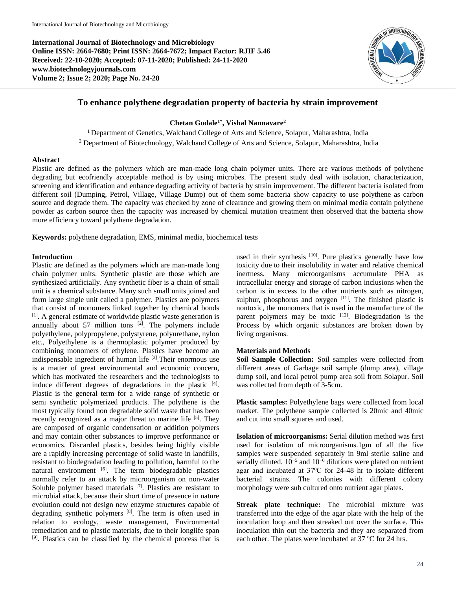**International Journal of Biotechnology and Microbiology Online ISSN: 2664-7680; Print ISSN: 2664-7672; Impact Factor: RJIF 5.46 Received: 22-10-2020; Accepted: 07-11-2020; Published: 24-11-2020 www.biotechnologyjournals.com Volume 2; Issue 2; 2020; Page No. 24-28**



# **To enhance polythene degradation property of bacteria by strain improvement**

**Chetan Godale1\* , Vishal Nannavare<sup>2</sup>**

<sup>1</sup> Department of Genetics, Walchand College of Arts and Science, Solapur, Maharashtra, India <sup>2</sup> Department of Biotechnology, Walchand College of Arts and Science, Solapur, Maharashtra, India

### **Abstract**

Plastic are defined as the polymers which are man-made long chain polymer units. There are various methods of polythene degrading but ecofriendly acceptable method is by using microbes. The present study deal with isolation, characterization, screening and identification and enhance degrading activity of bacteria by strain improvement. The different bacteria isolated from different soil (Dumping, Petrol, Village, Village Dump) out of them some bacteria show capacity to use polythene as carbon source and degrade them. The capacity was checked by zone of clearance and growing them on minimal media contain polythene powder as carbon source then the capacity was increased by chemical mutation treatment then observed that the bacteria show more efficiency toward polythene degradation.

**Keywords:** polythene degradation, EMS, minimal media, biochemical tests

### **Introduction**

Plastic are defined as the polymers which are man-made long chain polymer units. Synthetic plastic are those which are synthesized artificially. Any synthetic fiber is a chain of small unit is a chemical substance. Many such small units joined and form large single unit called a polymer. Plastics are polymers that consist of monomers linked together by chemical bonds [1]. A general estimate of worldwide plastic waste generation is annually about 57 million tons  $[2]$ . The polymers include polyethylene, polypropylene, polystyrene, polyurethane, nylon etc., Polyethylene is a thermoplastic polymer produced by combining monomers of ethylene. Plastics have become an indispensable ingredient of human life [3]. Their enormous use is a matter of great environmental and economic concern, which has motivated the researchers and the technologists to induce different degrees of degradations in the plastic  $[4]$ . Plastic is the general term for a wide range of synthetic or semi synthetic polymerized products. The polythene is the most typically found non degradable solid waste that has been recently recognized as a major threat to marine life [5]. They are composed of organic condensation or addition polymers and may contain other substances to improve performance or economics. Discarded plastics, besides being highly visible are a rapidly increasing percentage of solid waste in landfills, resistant to biodegradation leading to pollution, harmful to the natural environment [6]. The term biodegradable plastics normally refer to an attack by microorganism on non-water Soluble polymer based materials <sup>[7]</sup>. Plastics are resistant to microbial attack, because their short time of presence in nature evolution could not design new enzyme structures capable of degrading synthetic polymers [8]. The term is often used in relation to ecology, waste management, Environmental remediation and to plastic materials, due to their longlife span [9]. Plastics can be classified by the chemical process that is

used in their synthesis <sup>[10]</sup>. Pure plastics generally have low toxicity due to their insolubility in water and relative chemical inertness. Many microorganisms accumulate PHA as intracellular energy and storage of carbon inclusions when the carbon is in excess to the other nutrients such as nitrogen, sulphur, phosphorus and oxygen [11]. The finished plastic is nontoxic, the monomers that is used in the manufacture of the parent polymers may be toxic [12]. Biodegradation is the Process by which organic substances are broken down by living organisms.

### **Materials and Methods**

**Soil Sample Collection:** Soil samples were collected from different areas of Garbage soil sample (dump area), village dump soil, and local petrol pump area soil from Solapur. Soil was collected from depth of 3-5cm.

**Plastic samples:** Polyethylene bags were collected from local market. The polythene sample collected is 20mic and 40mic and cut into small squares and used.

**Isolation of microorganisms:** Serial dilution method was first used for isolation of microorganisms.1gm of all the five samples were suspended separately in 9ml sterile saline and serially diluted.  $10^{-5}$  and  $10^{-6}$  dilutions were plated on nutrient agar and incubated at 37°C for 24-48 hr to isolate different bacterial strains. The colonies with different colony morphology were sub cultured onto nutrient agar plates.

**Streak plate technique:** The microbial mixture was transferred into the edge of the agar plate with the help of the inoculation loop and then streaked out over the surface. This inoculation thin out the bacteria and they are separated from each other. The plates were incubated at 37 ºC for 24 hrs.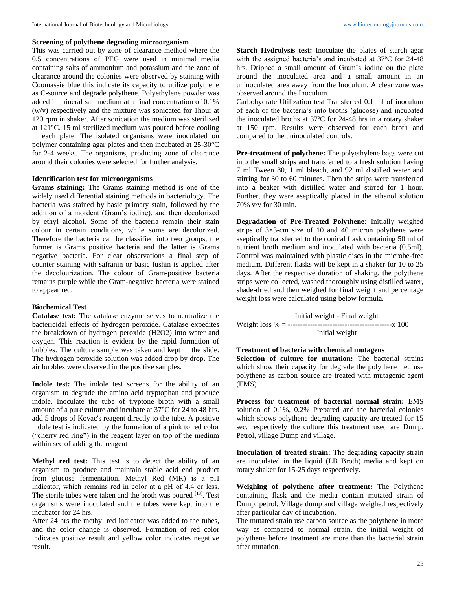### **Screening of polythene degrading microorganism**

This was carried out by zone of clearance method where the 0.5 concentrations of PEG were used in minimal media containing salts of ammonium and potassium and the zone of clearance around the colonies were observed by staining with Coomassie blue this indicate its capacity to utilize polythene as C-source and degrade polythene. Polyethylene powder was added in mineral salt medium at a final concentration of 0.1% (w/v) respectively and the mixture was sonicated for 1hour at 120 rpm in shaker. After sonication the medium was sterilized at 121°C. 15 ml sterilized medium was poured before cooling in each plate. The isolated organisms were inoculated on polymer containing agar plates and then incubated at 25-30°C for 2-4 weeks. The organisms, producing zone of clearance around their colonies were selected for further analysis.

## **Identification test for microorganisms**

**Grams staining:** The Grams staining method is one of the widely used differential staining methods in bacteriology. The bacteria was stained by basic primary stain, followed by the addition of a mordent (Gram's iodine), and then decolorized by ethyl alcohol. Some of the bacteria remain their stain colour in certain conditions, while some are decolorized. Therefore the bacteria can be classified into two groups, the former is Grams positive bacteria and the latter is Grams negative bacteria. For clear observations a final step of counter staining with safranin or basic fushin is applied after the decolourization. The colour of Gram-positive bacteria remains purple while the Gram-negative bacteria were stained to appear red.

## **Biochemical Test**

**Catalase test:** The catalase enzyme serves to neutralize the bactericidal effects of hydrogen peroxide. Catalase expedites the breakdown of hydrogen peroxide (H2O2) into water and oxygen. This reaction is evident by the rapid formation of bubbles. The culture sample was taken and kept in the slide. The hydrogen peroxide solution was added drop by drop. The air bubbles were observed in the positive samples.

**Indole test:** The indole test screens for the ability of an organism to degrade the amino acid tryptophan and produce indole. Inoculate the tube of tryptone broth with a small amount of a pure culture and incubate at 37°C for 24 to 48 hrs. add 5 drops of Kovac's reagent directly to the tube. A positive indole test is indicated by the formation of a pink to red color ("cherry red ring") in the reagent layer on top of the medium within sec of adding the reagent

**Methyl red test:** This test is to detect the ability of an organism to produce and maintain stable acid end product from glucose fermentation. Methyl Red (MR) is a pΗ indicator, which remains red in color at a pΗ of 4.4 or less. The sterile tubes were taken and the broth was poured <sup>[13]</sup>. Test organisms were inoculated and the tubes were kept into the incubator for 24 hrs.

After 24 hrs the methyl red indicator was added to the tubes, and the color change is observed. Formation of red color indicates positive result and yellow color indicates negative result.

**Starch Hydrolysis test:** Inoculate the plates of starch agar with the assigned bacteria's and incubated at 37ºC for 24-48 hrs. Dripped a small amount of Gram's iodine on the plate around the inoculated area and a small amount in an uninoculated area away from the Inoculum. A clear zone was observed around the Inoculum.

Carbohydrate Utilization test Transferred 0.1 ml of inoculum of each of the bacteria's into broths (glucose) and incubated the inoculated broths at 37ºC for 24-48 hrs in a rotary shaker at 150 rpm. Results were observed for each broth and compared to the uninoculated controls.

**Pre-treatment of polythene:** The polyethylene bags were cut into the small strips and transferred to a fresh solution having 7 ml Tween 80, 1 ml bleach, and 92 ml distilled water and stirring for 30 to 60 minutes. Then the strips were transferred into a beaker with distilled water and stirred for 1 hour. Further, they were aseptically placed in the ethanol solution 70% v/v for 30 min.

**Degradation of Pre-Treated Polythene:** Initially weighed strips of 3×3-cm size of 10 and 40 micron polythene were aseptically transferred to the conical flask containing 50 ml of nutrient broth medium and inoculated with bacteria (0.5ml). Control was maintained with plastic discs in the microbe-free medium. Different flasks will be kept in a shaker for 10 to 25 days. After the respective duration of shaking, the polythene strips were collected, washed thoroughly using distilled water, shade-dried and then weighed for final weight and percentage weight loss were calculated using below formula.

Initial weight - Final weight Weight loss % = ------------------------------------------x 100 Initial weight

## **Treatment of bacteria with chemical mutagens**

**Selection of culture for mutation:** The bacterial strains which show their capacity for degrade the polythene i.e., use polythene as carbon source are treated with mutagenic agent (EMS)

**Process for treatment of bacterial normal strain:** EMS solution of 0.1%, 0.2% Prepared and the bacterial colonies which shows polythene degrading capacity are treated for 15 sec. respectively the culture this treatment used are Dump, Petrol, village Dump and village.

**Inoculation of treated strain:** The degrading capacity strain are inoculated in the liquid (LB Broth) media and kept on rotary shaker for 15-25 days respectively.

**Weighing of polythene after treatment:** The Polythene containing flask and the media contain mutated strain of Dump, petrol, Village dump and village weighed respectively after particular day of incubation.

The mutated strain use carbon source as the polythene in more way as compared to normal strain, the initial weight of polythene before treatment are more than the bacterial strain after mutation.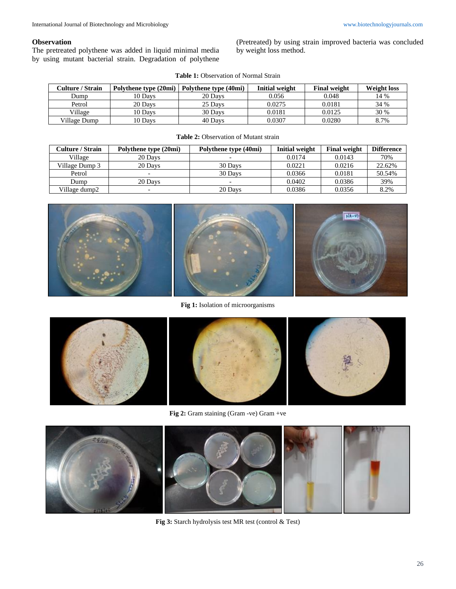## **Observation**

The pretreated polythene was added in liquid minimal media by using mutant bacterial strain. Degradation of polythene (Pretreated) by using strain improved bacteria was concluded by weight loss method.

| <b>Table 1:</b> Observation of Normal Strain |  |
|----------------------------------------------|--|
|----------------------------------------------|--|

| <b>Culture / Strain</b> | Polythene type (20mi) | Polythene type (40mi) | <b>Initial weight</b> | <b>Final weight</b> | <b>Weight loss</b> |
|-------------------------|-----------------------|-----------------------|-----------------------|---------------------|--------------------|
| Dump                    | 10 Davs               | 20 Days               | 0.056                 | 0.048               | 14 %               |
| Petrol                  | 20 Days               | 25 Davs               | 0.0275                | 0.0181              | 34 %               |
| Village                 | 10 Davs               | 30 Days               | 0.0181                | 0.0125              | 30 %               |
| Village Dump            | 10 Davs               | 40 Davs               | 0.0307                | 0.0280              | 8.7%               |

| <b>Culture / Strain</b> | Polythene type (20mi) | Polythene type (40mi) | <b>Initial weight</b> | <b>Final weight</b> | <b>Difference</b> |
|-------------------------|-----------------------|-----------------------|-----------------------|---------------------|-------------------|
| Village                 | 20 Days               |                       | 0.0174                | 0.0143              | 70%               |
| Village Dump 3          | 20 Days               | 30 Days               | 0.0221                | 0.0216              | 22.62%            |
| Petrol                  |                       | 30 Days               | 0.0366                | 0.0181              | 50.54%            |
| Dump                    | 20 Days               |                       | 0.0402                | 0.0386              | 39%               |
| Village dump2           |                       | 20 Days               | 0.0386                | 0.0356              | 8.2%              |

#### **Table 2:** Observation of Mutant strain







**Fig 1:** Isolation of microorganisms











**Fig 3:** Starch hydrolysis test MR test (control & Test)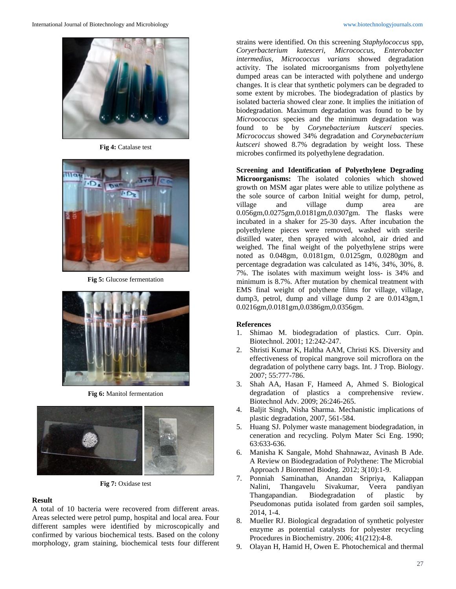

**Fig 4:** Catalase test



**Fig 5:** Glucose fermentation



**Fig 6:** Manitol fermentation



**Fig 7:** Oxidase test

#### **Result**

A total of 10 bacteria were recovered from different areas. Areas selected were petrol pump, hospital and local area. Four different samples were identified by microscopically and confirmed by various biochemical tests. Based on the colony morphology, gram staining, biochemical tests four different

strains were identified. On this screening *Staphylococcus* spp, *Coryerbacterium kutesceri, Micrococcus, Enterobacter intermedius, Micrococcus varians* showed degradation activity. The isolated microorganisms from polyethylene dumped areas can be interacted with polythene and undergo changes. It is clear that synthetic polymers can be degraded to some extent by microbes. The biodegradation of plastics by isolated bacteria showed clear zone. It implies the initiation of biodegradation. Maximum degradation was found to be by *Microococcus* species and the minimum degradation was found to be by *Corynebacterium kutsceri* species. *Micrococcus* showed 34% degradation and *Corynebacterium kutsceri* showed 8.7% degradation by weight loss. These microbes confirmed its polyethylene degradation.

**Screening and Identification of Polyethylene Degrading Microorganisms:** The isolated colonies which showed growth on MSM agar plates were able to utilize polythene as the sole source of carbon Initial weight for dump, petrol, village and village dump area are 0.056gm,0.0275gm,0.0181gm,0.0307gm. The flasks were incubated in a shaker for 25-30 days. After incubation the polyethylene pieces were removed, washed with sterile distilled water, then sprayed with alcohol, air dried and weighed. The final weight of the polyethylene strips were noted as 0.048gm, 0.0181gm, 0.0125gm, 0.0280gm and percentage degradation was calculated as 14%, 34%, 30%, 8. 7%. The isolates with maximum weight loss- is 34% and minimum is 8.7%. After mutation by chemical treatment with EMS final weight of polythene films for village, village, dump3, petrol, dump and village dump 2 are 0.0143gm,1 0.0216gm,0.0181gm,0.0386gm,0.0356gm.

#### **References**

- 1. Shimao M. biodegradation of plastics. Curr. Opin. Biotechnol. 2001; 12:242-247.
- 2. Shristi Kumar K, Haltha AAM, Christi KS. Diversity and effectiveness of tropical mangrove soil microflora on the degradation of polythene carry bags. Int. J Trop. Biology. 2007; 55:777-786.
- 3. Shah AA, Hasan F, Hameed A, Ahmed S. Biological degradation of plastics a comprehensive review. Biotechnol Adv. 2009; 26:246-265.
- 4. Baljit Singh, Nisha Sharma. Mechanistic implications of plastic degradation, 2007, 561-584.
- 5. Huang SJ. Polymer waste management biodegradation, in ceneration and recycling. Polym Mater Sci Eng. 1990; 63:633-636.
- 6. Manisha K Sangale, Mohd Shahnawaz, Avinash B Ade. A Review on Biodegradation of Polythene: The Microbial Approach J Bioremed Biodeg. 2012; 3(10):1-9.
- 7. Ponniah Saminathan, Anandan Sripriya, Kaliappan Nalini, Thangavelu Sivakumar, Veera pandiyan Thangapandian. Biodegradation of plastic by Pseudomonas putida isolated from garden soil samples, 2014, 1-4.
- 8. Mueller RJ. Biological degradation of synthetic polyester enzyme as potential catalysts for polyester recycling Procedures in Biochemistry. 2006; 41(212):4-8.
- 9. Olayan H, Hamid H, Owen E. Photochemical and thermal